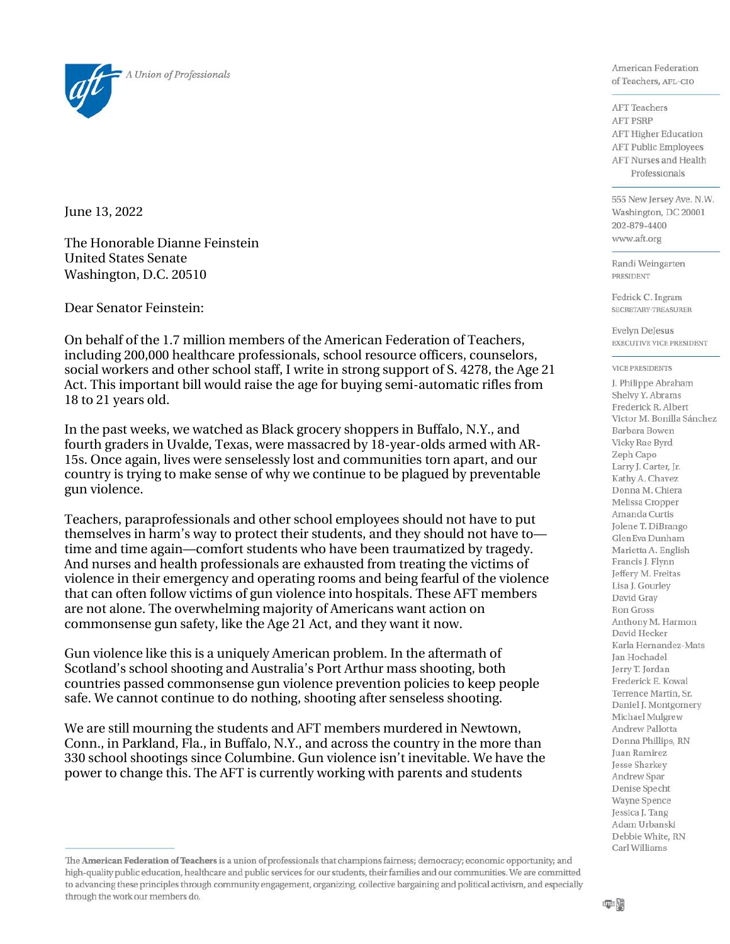

June 13, 2022

The Honorable Dianne Feinstein United States Senate Washington, D.C. 20510

Dear Senator Feinstein:

On behalf of the 1.7 million members of the American Federation of Teachers, including 200,000 healthcare professionals, school resource officers, counselors, social workers and other school staff, I write in strong support of S. 4278, the Age 21 Act. This important bill would raise the age for buying semi-automatic rifles from 18 to 21 years old.

In the past weeks, we watched as Black grocery shoppers in Buffalo, N.Y., and fourth graders in Uvalde, Texas, were massacred by 18-year-olds armed with AR-15s. Once again, lives were senselessly lost and communities torn apart, and our country is trying to make sense of why we continue to be plagued by preventable gun violence.

Teachers, paraprofessionals and other school employees should not have to put themselves in harm's way to protect their students, and they should not have to time and time again—comfort students who have been traumatized by tragedy. And nurses and health professionals are exhausted from treating the victims of violence in their emergency and operating rooms and being fearful of the violence that can often follow victims of gun violence into hospitals. These AFT members are not alone. The overwhelming majority of Americans want action on commonsense gun safety, like the Age 21 Act, and they want it now.

Gun violence like this is a uniquely American problem. In the aftermath of Scotland's school shooting and Australia's Port Arthur mass shooting, both countries passed commonsense gun violence prevention policies to keep people safe. We cannot continue to do nothing, shooting after senseless shooting.

We are still mourning the students and AFT members murdered in Newtown, Conn., in Parkland, Fla., in Buffalo, N.Y., and across the country in the more than 330 school shootings since Columbine. Gun violence isn't inevitable. We have the power to change this. The AFT is currently working with parents and students

American Federation of Teachers, AFL-CIO

**AFT** Teachers **AFT PSRP AFT Higher Education AFT Public Employees AFT Nurses and Health** Professionals

555 New Jersey Ave. N.W. Washington, DC 20001 202-879-4400 www.aft.org

Randi Weingarten PRESIDENT

Fedrick C. Ingram SECRETARY-TREASURER

**Evelyn DeJesus** EXECUTIVE VICE PRESIDENT

## **VICE PRESIDENTS**

J. Philippe Abraham Shelvy Y. Abrams Frederick R. Albert Victor M. Bonilla Sánchez Barbara Bowen Vicky Rae Byrd Zeph Capo Larry J. Carter, Jr. Kathy A. Chavez Donna M. Chiera Melissa Cropper Amanda Curtis Jolene T. DiBrango GlenEva Dunham Marietta A. English Francis J. Flynn Jeffery M. Freitas Lisa J. Gourley David Gray **Ron Gross** Anthony M. Harmon David Hecker Karla Hernandez-Mats Jan Hochadel Jerry T. Jordan Frederick E. Kowal Terrence Martin, Sr. Daniel J. Montgomery Michael Mulgrew Andrew Pallotta Donna Phillips, RN Juan Ramirez Jesse Sharkey Andrew Spar Denise Specht Wayne Spence Jessica J. Tang Adam Urbanski Debbie White, RN Carl Williams

The American Federation of Teachers is a union of professionals that champions fairness; democracy; economic opportunity; and high-quality public education, healthcare and public services for our students, their families and our communities. We are committed to advancing these principles through community engagement, organizing, collective bargaining and political activism, and especially through the work our members do.